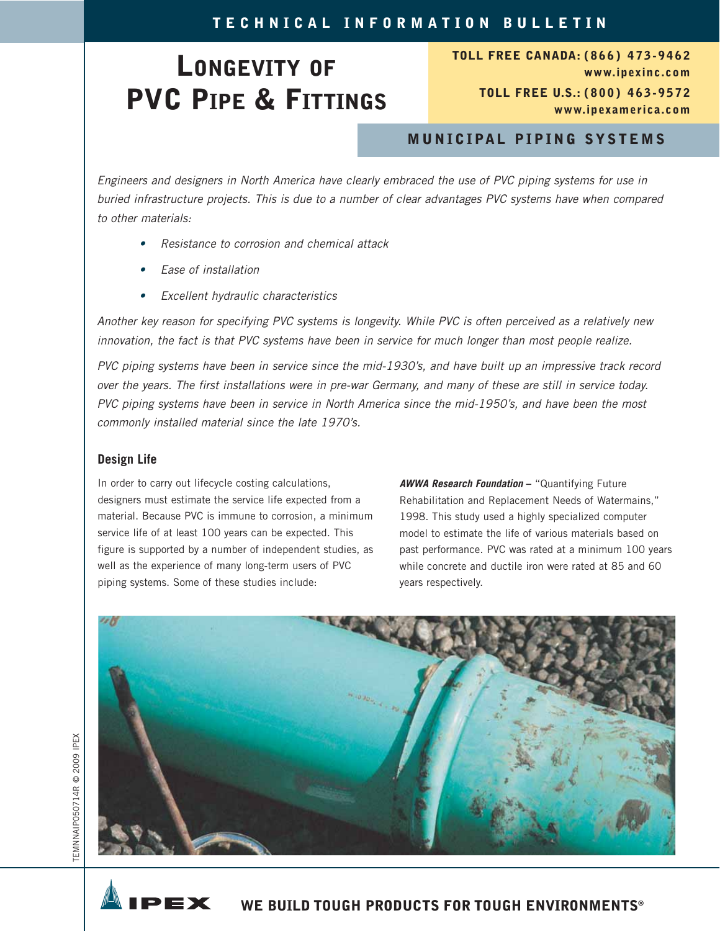## **LONGEVITY OF PVC PIPE & FITTINGS**

**TOLL FREE CANADA: (866) 473-9462 www.ipexinc.com TOLL FREE U.S.: (800) 463-9572 www.ipexamerica.com**

## **MUNICIPAL PIPING SYSTEMS**

Engineers and designers in North America have clearly embraced the use of PVC piping systems for use in buried infrastructure projects. This is due to a number of clear advantages PVC systems have when compared to other materials:

- Resistance to corrosion and chemical attack
- •Ease of installation
- Excellent hydraulic characteristics

Another key reason for specifying PVC systems is longevity. While PVC is often perceived as a relatively new innovation, the fact is that PVC systems have been in service for much longer than most people realize.

PVC piping systems have been in service since the mid-1930's, and have built up an impressive track record over the years. The first installations were in pre-war Germany, and many of these are still in service today. PVC piping systems have been in service in North America since the mid-1950's, and have been the most commonly installed material since the late 1970's.

## **Design Life**

In order to carry out lifecycle costing calculations, designers must estimate the service life expected from a material. Because PVC is immune to corrosion, a minimum service life of at least 100 years can be expected. This figure is supported by a number of independent studies, as well as the experience of many long-term users of PVC piping systems. Some of these studies include:

**AWWA Research Foundation –** "Quantifying Future Rehabilitation and Replacement Needs of Watermains," 1998. This study used a highly specialized computer model to estimate the life of various materials based on past performance. PVC was rated at a minimum 100 years while concrete and ductile iron were rated at 85 and 60 years respectively.